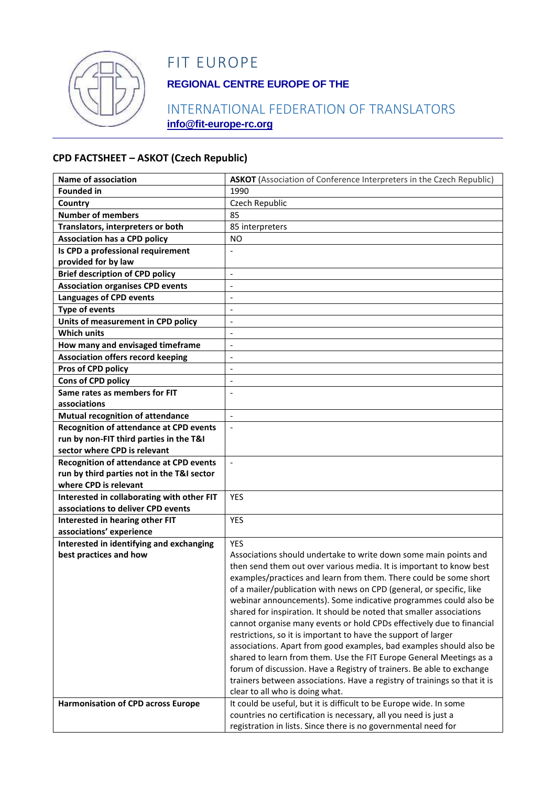

# FIT EUROPE

## **REGIONAL CENTRE EUROPE OF THE**

### INTERNATIONAL FEDERATION OF TRANSLATORS **info@fit-europe-rc.org**

#### **CPD FACTSHEET – ASKOT (Czech Republic)**

| <b>Name of association</b>                     | <b>ASKOT</b> (Association of Conference Interpreters in the Czech Republic)                                                           |
|------------------------------------------------|---------------------------------------------------------------------------------------------------------------------------------------|
| <b>Founded in</b>                              | 1990                                                                                                                                  |
| Country                                        | Czech Republic                                                                                                                        |
| <b>Number of members</b>                       | 85                                                                                                                                    |
| Translators, interpreters or both              | 85 interpreters                                                                                                                       |
| <b>Association has a CPD policy</b>            | NO.                                                                                                                                   |
| Is CPD a professional requirement              |                                                                                                                                       |
| provided for by law                            |                                                                                                                                       |
| <b>Brief description of CPD policy</b>         | $\overline{a}$                                                                                                                        |
| <b>Association organises CPD events</b>        | $\blacksquare$                                                                                                                        |
| <b>Languages of CPD events</b>                 | $\overline{\phantom{a}}$                                                                                                              |
| <b>Type of events</b>                          | $\blacksquare$                                                                                                                        |
| Units of measurement in CPD policy             | $\overline{a}$                                                                                                                        |
| <b>Which units</b>                             | $\blacksquare$                                                                                                                        |
| How many and envisaged timeframe               | $\blacksquare$                                                                                                                        |
| <b>Association offers record keeping</b>       | $\overline{\phantom{a}}$                                                                                                              |
| Pros of CPD policy                             | $\overline{a}$                                                                                                                        |
| Cons of CPD policy                             | $\overline{\phantom{a}}$                                                                                                              |
| Same rates as members for FIT                  |                                                                                                                                       |
| associations                                   |                                                                                                                                       |
| Mutual recognition of attendance               | $\blacksquare$                                                                                                                        |
| <b>Recognition of attendance at CPD events</b> | $\Box$                                                                                                                                |
| run by non-FIT third parties in the T&I        |                                                                                                                                       |
| sector where CPD is relevant                   |                                                                                                                                       |
| <b>Recognition of attendance at CPD events</b> | $\blacksquare$                                                                                                                        |
| run by third parties not in the T&I sector     |                                                                                                                                       |
| where CPD is relevant                          |                                                                                                                                       |
| Interested in collaborating with other FIT     | <b>YES</b>                                                                                                                            |
| associations to deliver CPD events             |                                                                                                                                       |
| Interested in hearing other FIT                | <b>YES</b>                                                                                                                            |
| associations' experience                       |                                                                                                                                       |
| Interested in identifying and exchanging       | <b>YES</b>                                                                                                                            |
| best practices and how                         | Associations should undertake to write down some main points and                                                                      |
|                                                | then send them out over various media. It is important to know best                                                                   |
|                                                | examples/practices and learn from them. There could be some short                                                                     |
|                                                | of a mailer/publication with news on CPD (general, or specific, like                                                                  |
|                                                | webinar announcements). Some indicative programmes could also be                                                                      |
|                                                | shared for inspiration. It should be noted that smaller associations                                                                  |
|                                                | cannot organise many events or hold CPDs effectively due to financial                                                                 |
|                                                | restrictions, so it is important to have the support of larger                                                                        |
|                                                | associations. Apart from good examples, bad examples should also be                                                                   |
|                                                | shared to learn from them. Use the FIT Europe General Meetings as a                                                                   |
|                                                | forum of discussion. Have a Registry of trainers. Be able to exchange                                                                 |
|                                                | trainers between associations. Have a registry of trainings so that it is                                                             |
|                                                | clear to all who is doing what.                                                                                                       |
| <b>Harmonisation of CPD across Europe</b>      | It could be useful, but it is difficult to be Europe wide. In some<br>countries no certification is necessary, all you need is just a |
|                                                |                                                                                                                                       |
|                                                | registration in lists. Since there is no governmental need for                                                                        |